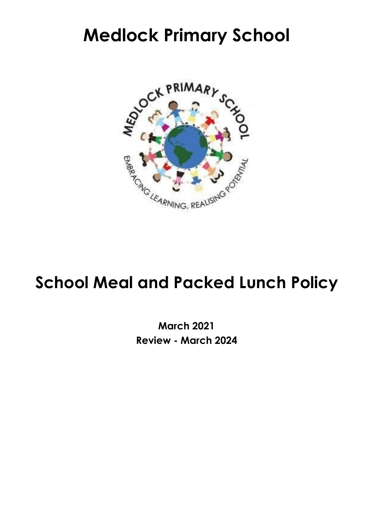# **Medlock Primary School**



## **School Meal and Packed Lunch Policy**

**March 2021 Review - March 2024**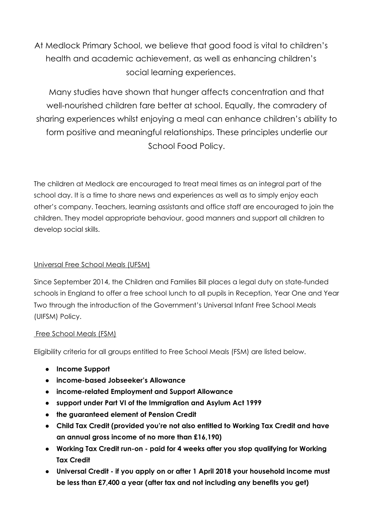At Medlock Primary School, we believe that good food is vital to children's health and academic achievement, as well as enhancing children's social learning experiences.

Many studies have shown that hunger affects concentration and that well-nourished children fare better at school. Equally, the comradery of sharing experiences whilst enjoying a meal can enhance children's ability to form positive and meaningful relationships. These principles underlie our School Food Policy.

The children at Medlock are encouraged to treat meal times as an integral part of the school day. It is a time to share news and experiences as well as to simply enjoy each other's company. Teachers, learning assistants and office staff are encouraged to join the children. They model appropriate behaviour, good manners and support all children to develop social skills.

#### Universal Free School Meals (UFSM)

Since September 2014, the Children and Families Bill places a legal duty on state-funded schools in England to offer a free school lunch to all pupils in Reception, Year One and Year Two through the introduction of the Government's Universal Infant Free School Meals (UIFSM) Policy.

#### Free School Meals (FSM)

Eligibility criteria for all groups entitled to Free School Meals (FSM) are listed below.

- **● Income Support**
- **● income-based Jobseeker's Allowance**
- **● income-related Employment and Support Allowance**
- **● support under Part VI of the Immigration and Asylum Act 1999**
- **● the guaranteed element of Pension Credit**
- **● Child Tax Credit (provided you're not also entitled to Working Tax Credit and have an annual gross income of no more than £16,190)**
- **● Working Tax Credit run-on - paid for 4 weeks after you stop qualifying for Working Tax Credit**
- **● Universal Credit - if you apply on or after 1 April 2018 your household income must be less than £7,400 a year (after tax and not including any benefits you get)**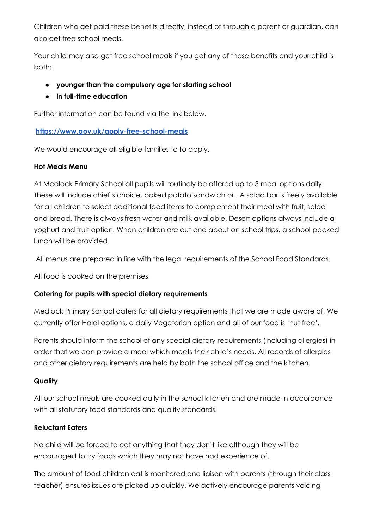Children who get paid these benefits directly, instead of through a parent or guardian, can also get free school meals.

Your child may also get free school meals if you get any of these benefits and your child is both:

- **● younger than the compulsory age for starting school**
- **● in full-time education**

Further information can be found via the link below.

**<https://www.gov.uk/apply-free-school-meals>**

We would encourage all eligible families to to apply.

#### **Hot Meals Menu**

At Medlock Primary School all pupils will routinely be offered up to 3 meal options daily. These will include chief's choice, baked potato sandwich or . A salad bar is freely available for all children to select additional food items to complement their meal with fruit, salad and bread. There is always fresh water and milk available. Desert options always include a yoghurt and fruit option. When children are out and about on school trips, a school packed lunch will be provided.

All menus are prepared in line with the legal requirements of the School Food Standards.

All food is cooked on the premises.

## **Catering for pupils with special dietary requirements**

Medlock Primary School caters for all dietary requirements that we are made aware of. We currently offer Halal options, a daily Vegetarian option and all of our food is 'nut free'.

Parents should inform the school of any special dietary requirements (including allergies) in order that we can provide a meal which meets their child's needs. All records of allergies and other dietary requirements are held by both the school office and the kitchen.

#### **Quality**

All our school meals are cooked daily in the school kitchen and are made in accordance with all statutory food standards and quality standards.

## **Reluctant Eaters**

No child will be forced to eat anything that they don't like although they will be encouraged to try foods which they may not have had experience of.

The amount of food children eat is monitored and liaison with parents (through their class teacher) ensures issues are picked up quickly. We actively encourage parents voicing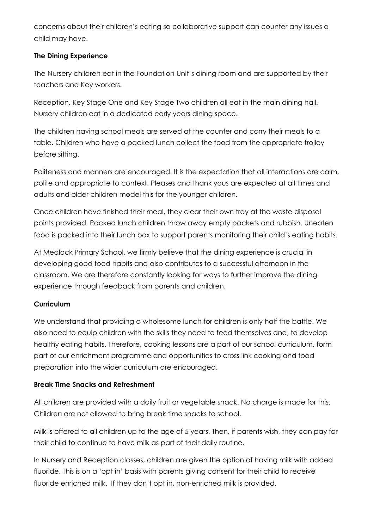concerns about their children's eating so collaborative support can counter any issues a child may have.

#### **The Dining Experience**

The Nursery children eat in the Foundation Unit's dining room and are supported by their teachers and Key workers.

Reception, Key Stage One and Key Stage Two children all eat in the main dining hall. Nursery children eat in a dedicated early years dining space.

The children having school meals are served at the counter and carry their meals to a table. Children who have a packed lunch collect the food from the appropriate trolley before sitting.

Politeness and manners are encouraged. It is the expectation that all interactions are calm, polite and appropriate to context. Pleases and thank yous are expected at all times and adults and older children model this for the younger children.

Once children have finished their meal, they clear their own tray at the waste disposal points provided. Packed lunch children throw away empty packets and rubbish. Uneaten food is packed into their lunch box to support parents monitoring their child's eating habits.

At Medlock Primary School, we firmly believe that the dining experience is crucial in developing good food habits and also contributes to a successful afternoon in the classroom. We are therefore constantly looking for ways to further improve the dining experience through feedback from parents and children.

#### **Curriculum**

We understand that providing a wholesome lunch for children is only half the battle. We also need to equip children with the skills they need to feed themselves and, to develop healthy eating habits. Therefore, cooking lessons are a part of our school curriculum, form part of our enrichment programme and opportunities to cross link cooking and food preparation into the wider curriculum are encouraged.

#### **Break Time Snacks and Refreshment**

All children are provided with a daily fruit or vegetable snack. No charge is made for this. Children are not allowed to bring break time snacks to school.

Milk is offered to all children up to the age of 5 years. Then, if parents wish, they can pay for their child to continue to have milk as part of their daily routine.

In Nursery and Reception classes, children are given the option of having milk with added fluoride. This is on a 'opt in' basis with parents giving consent for their child to receive fluoride enriched milk. If they don't opt in, non-enriched milk is provided.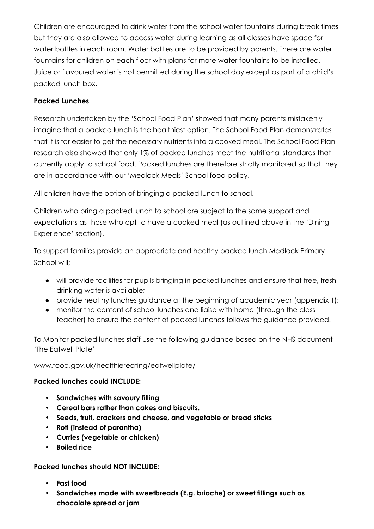Children are encouraged to drink water from the school water fountains during break times but they are also allowed to access water during learning as all classes have space for water bottles in each room. Water bottles are to be provided by parents. There are water fountains for children on each floor with plans for more water fountains to be installed. Juice or flavoured water is not permitted during the school day except as part of a child's packed lunch box.

#### **Packed Lunches**

Research undertaken by the 'School Food Plan' showed that many parents mistakenly imagine that a packed lunch is the healthiest option. The School Food Plan demonstrates that it is far easier to get the necessary nutrients into a cooked meal. The School Food Plan research also showed that only 1% of packed lunches meet the nutritional standards that currently apply to school food. Packed lunches are therefore strictly monitored so that they are in accordance with our 'Medlock Meals' School food policy.

All children have the option of bringing a packed lunch to school.

Children who bring a packed lunch to school are subject to the same support and expectations as those who opt to have a cooked meal (as outlined above in the 'Dining Experience' section).

To support families provide an appropriate and healthy packed lunch Medlock Primary School will;

- will provide facilities for pupils bringing in packed lunches and ensure that free, fresh drinking water is available;
- provide healthy lunches guidance at the beginning of academic year (appendix 1);
- monitor the content of school lunches and liaise with home (through the class teacher) to ensure the content of packed lunches follows the guidance provided.

To Monitor packed lunches staff use the following guidance based on the NHS document 'The Eatwell Plate'

www.food.gov.uk/healthiereating/eatwellplate/

#### **Packed lunches could INCLUDE:**

- **• Sandwiches with savoury filling**
- **• Cereal bars rather than cakes and biscuits.**
- **• Seeds, fruit, crackers and cheese, and vegetable or bread sticks**
- **• Roti (instead of parantha)**
- **• Curries (vegetable or chicken)**
- **• Boiled rice**

#### **Packed lunches should NOT INCLUDE:**

- **• Fast food**
- **• Sandwiches made with sweetbreads (E.g. brioche) or sweet fillings such as chocolate spread or jam**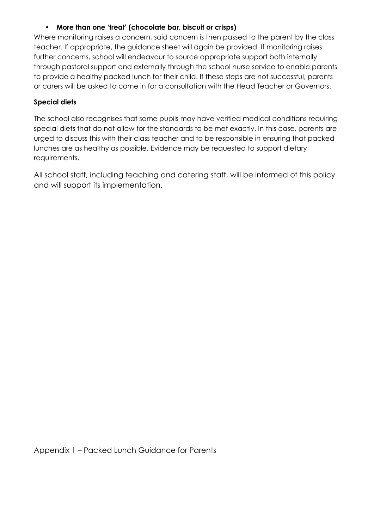#### **• More than one 'treat' (chocolate bar, biscuit or crisps)**

Where monitoring raises a concern, said concern is then passed to the parent by the class teacher. If appropriate, the guidance sheet will again be provided. If monitoring raises further concerns, school will endeavour to source appropriate support both internally through pastoral support and externally through the school nurse service to enable parents to provide a healthy packed lunch for their child. If these steps are not successful, parents or carers will be asked to come in for a consultation with the Head Teacher or Governors.

#### **Special diets**

The school also recognises that some pupils may have verified medical conditions requiring special diets that do not allow for the standards to be met exactly. In this case, parents are urged to discuss this with their class teacher and to be responsible in ensuring that packed lunches are as healthy as possible. Evidence may be requested to support dietary requirements.

All school staff, including teaching and catering staff, will be informed of this policy and will support its implementation.

Appendix 1 – Packed Lunch Guidance for Parents